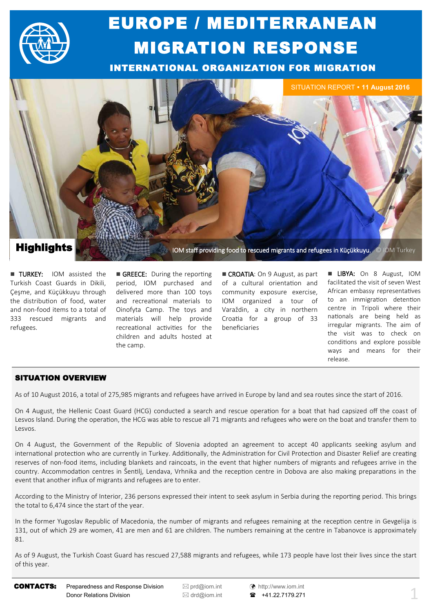

# EUROPE / MEDITERRANEAN MIGRATION RESPONSE

INTERNATIONAL ORGANIZATION FOR MIGRATION



**TURKEY:** IOM assisted the Turkish Coast Guards in Dikili, Çeşme, and Küçükkuyu through the distribution of food, water and non-food items to a total of 333 rescued migrants and refugees.

GREECE: During the reporting period, IOM purchased and delivered more than 100 toys and recreational materials to Oinofyta Camp. The toys and materials will help provide recreational activities for the children and adults hosted at the camp.

CROATIA: On 9 August, as part of a cultural orientation and community exposure exercise, IOM organized a tour of Varaždin, a city in northern Croatia for a group of 33 beneficiaries

**LIBYA:** On 8 August, IOM facilitated the visit of seven West African embassy representatives to an immigration detention centre in Tripoli where their nationals are being held as irregular migrants. The aim of the visit was to check on conditions and explore possible ways and means for their release.

### SITUATION OVERVIEW

As of 10 August 2016, a total of 275,985 migrants and refugees have arrived in Europe by land and sea routes since the start of 2016.

On 4 August, the Hellenic Coast Guard (HCG) conducted a search and rescue operation for a boat that had capsized off the coast of Lesvos Island. During the operation, the HCG was able to rescue all 71 migrants and refugees who were on the boat and transfer them to Lesvos.

On 4 August, the Government of the Republic of Slovenia adopted an agreement to accept 40 applicants seeking asylum and international protection who are currently in Turkey. Additionally, the Administration for Civil Protection and Disaster Relief are creating reserves of non-food items, including blankets and raincoats, in the event that higher numbers of migrants and refugees arrive in the country. Accommodation centres in Šentilj, Lendava, Vrhnika and the reception centre in Dobova are also making preparations in the event that another influx of migrants and refugees are to enter.

According to the Ministry of Interior, 236 persons expressed their intent to seek asylum in Serbia during the reporting period. This brings the total to 6,474 since the start of the year.

In the former Yugoslav Republic of Macedonia, the number of migrants and refugees remaining at the reception centre in Gevgelija is 131, out of which 29 are women, 41 are men and 61 are children. The numbers remaining at the centre in Tabanovce is approximately 81.

As of 9 August, the Turkish Coast Guard has rescued 27,588 migrants and refugees, while 173 people have lost their lives since the start of this year.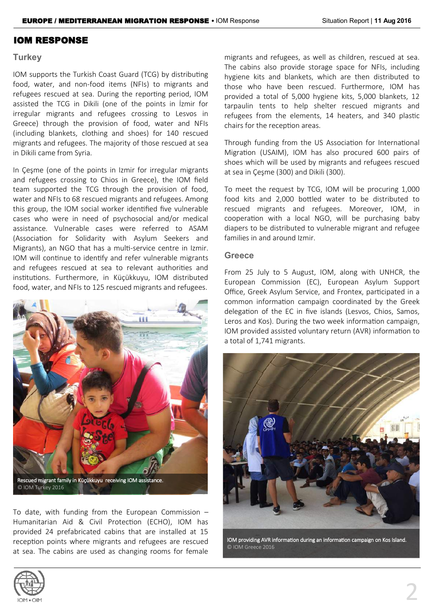### IOM RESPONSE

### **Turkey**

IOM supports the Turkish Coast Guard (TCG) by distributing food, water, and non-food items (NFIs) to migrants and refugees rescued at sea. During the reporting period, IOM assisted the TCG in Dikili (one of the points in İzmir for irregular migrants and refugees crossing to Lesvos in Greece) through the provision of food, water and NFIs (including blankets, clothing and shoes) for 140 rescued migrants and refugees. The majority of those rescued at sea in Dikili came from Syria.

In Çeşme (one of the points in Izmir for irregular migrants and refugees crossing to Chios in Greece), the IOM field team supported the TCG through the provision of food, water and NFIs to 68 rescued migrants and refugees. Among this group, the IOM social worker identified five vulnerable cases who were in need of psychosocial and/or medical assistance. Vulnerable cases were referred to ASAM (Association for Solidarity with Asylum Seekers and Migrants), an NGO that has a multi-service centre in Izmir. IOM will continue to identify and refer vulnerable migrants and refugees rescued at sea to relevant authorities and institutions. Furthermore, in Küçükkuyu, IOM distributed food, water, and NFIs to 125 rescued migrants and refugees.



Rescued migrant family in Küçükkuyu receiving IOM assistance. © IOM Turkey 2016

To date, with funding from the European Commission  $-$ Humanitarian Aid & Civil Protection (ECHO), IOM has provided 24 prefabricated cabins that are installed at 15 reception points where migrants and refugees are rescued at sea. The cabins are used as changing rooms for female

migrants and refugees, as well as children, rescued at sea. The cabins also provide storage space for NFIs, including hygiene kits and blankets, which are then distributed to those who have been rescued. Furthermore, IOM has provided a total of 5,000 hygiene kits, 5,000 blankets, 12 tarpaulin tents to help shelter rescued migrants and refugees from the elements, 14 heaters, and 340 plastic chairs for the reception areas.

Through funding from the US Association for International Migration (USAIM), IOM has also procured 600 pairs of shoes which will be used by migrants and refugees rescued at sea in Çeşme (300) and Dikili (300).

To meet the request by TCG, IOM will be procuring 1,000 food kits and 2,000 bottled water to be distributed to rescued migrants and refugees. Moreover, IOM, in cooperation with a local NGO, will be purchasing baby diapers to be distributed to vulnerable migrant and refugee families in and around Izmir.

### **Greece**

From 25 July to 5 August, IOM, along with UNHCR, the European Commission (EC), European Asylum Support Office, Greek Asylum Service, and Frontex, participated in a common information campaign coordinated by the Greek delegation of the EC in five islands (Lesvos, Chios, Samos, Leros and Kos). During the two week information campaign, IOM provided assisted voluntary return (AVR) information to a total of 1,741 migrants.



IOM providing AVR information during an information campaign on Kos Island. © IOM Greece 2016

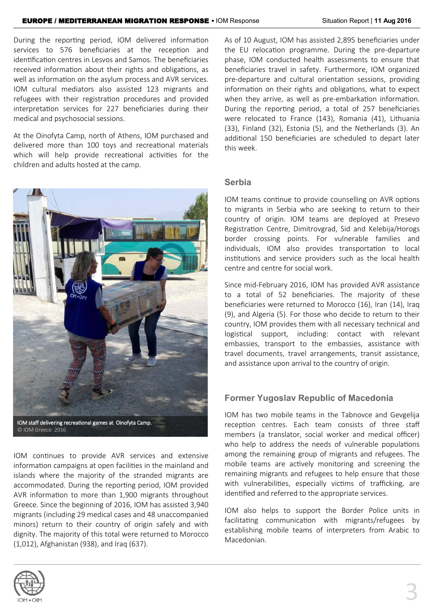During the reporting period, IOM delivered information services to 576 beneficiaries at the reception and identification centres in Lesvos and Samos. The beneficiaries received information about their rights and obligations, as well as information on the asylum process and AVR services. IOM cultural mediators also assisted 123 migrants and refugees with their registration procedures and provided interpretation services for 227 beneficiaries during their medical and psychosocial sessions.

At the Oinofyta Camp, north of Athens, IOM purchased and delivered more than 100 toys and recreational materials which will help provide recreational activities for the children and adults hosted at the camp.



IOM continues to provide AVR services and extensive information campaigns at open facilities in the mainland and islands where the majority of the stranded migrants are accommodated. During the reporting period, IOM provided AVR information to more than 1,900 migrants throughout Greece. Since the beginning of 2016, IOM has assisted 3,940 migrants (including 29 medical cases and 48 unaccompanied minors) return to their country of origin safely and with dignity. The majority of this total were returned to Morocco (1,012), Afghanistan (938), and Iraq (637).

As of 10 August, IOM has assisted 2,895 beneficiaries under the EU relocation programme. During the pre-departure phase, IOM conducted health assessments to ensure that beneficiaries travel in safety. Furthermore, IOM organized pre-departure and cultural orientation sessions, providing information on their rights and obligations, what to expect when they arrive, as well as pre-embarkation information. During the reporting period, a total of 257 beneficiaries were relocated to France (143), Romania (41), Lithuania (33), Finland (32), Estonia (5), and the Netherlands (3). An additional 150 beneficiaries are scheduled to depart later this week.

### **Serbia**

IOM teams continue to provide counselling on AVR options to migrants in Serbia who are seeking to return to their country of origin. IOM teams are deployed at Presevo Registration Centre, Dimitrovgrad, Sid and Kelebija/Horogs border crossing points. For vulnerable families and individuals, IOM also provides transportation to local institutions and service providers such as the local health centre and centre for social work.

Since mid-February 2016, IOM has provided AVR assistance to a total of 52 beneficiaries. The majority of these beneficiaries were returned to Morocco (16), Iran (14), Iraq (9), and Algeria (5). For those who decide to return to their country, IOM provides them with all necessary technical and logistical support, including: contact with relevant embassies, transport to the embassies, assistance with travel documents, travel arrangements, transit assistance, and assistance upon arrival to the country of origin.

### **Former Yugoslav Republic of Macedonia**

IOM has two mobile teams in the Tabnovce and Gevgelija reception centres. Each team consists of three staff members (a translator, social worker and medical officer) who help to address the needs of vulnerable populations among the remaining group of migrants and refugees. The mobile teams are actively monitoring and screening the remaining migrants and refugees to help ensure that those with vulnerabilities, especially victims of trafficking, are identified and referred to the appropriate services.

IOM also helps to support the Border Police units in facilitating communication with migrants/refugees by establishing mobile teams of interpreters from Arabic to Macedonian.

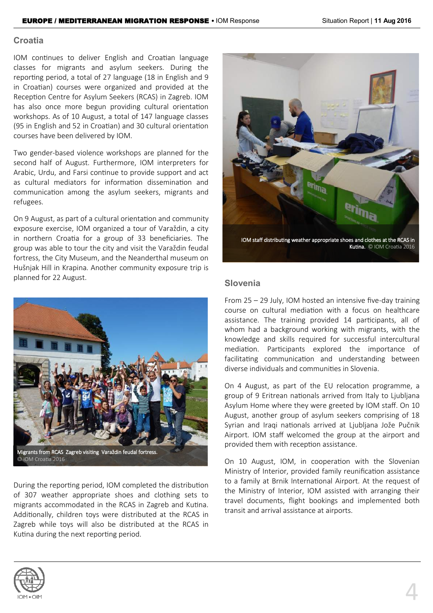### **Croatia**

IOM continues to deliver English and Croatian language classes for migrants and asylum seekers. During the reporting period, a total of 27 language (18 in English and 9 in Croatian) courses were organized and provided at the Reception Centre for Asylum Seekers (RCAS) in Zagreb. IOM has also once more begun providing cultural orientation workshops. As of 10 August, a total of 147 language classes (95 in English and 52 in Croatian) and 30 cultural orientation courses have been delivered by IOM.

Two gender-based violence workshops are planned for the second half of August. Furthermore, IOM interpreters for Arabic, Urdu, and Farsi continue to provide support and act as cultural mediators for information dissemination and communication among the asylum seekers, migrants and refugees.

On 9 August, as part of a cultural orientation and community exposure exercise, IOM organized a tour of Varaždin, a city in northern Croatia for a group of 33 beneficiaries. The group was able to tour the city and visit the Varaždin feudal fortress, the City Museum, and the Neanderthal museum on Hušnjak Hill in Krapina. Another community exposure trip is planned for 22 August.



During the reporting period, IOM completed the distribution of 307 weather appropriate shoes and clothing sets to migrants accommodated in the RCAS in Zagreb and Kutina. Additionally, children toys were distributed at the RCAS in Zagreb while toys will also be distributed at the RCAS in Kutina during the next reporting period.



IOM staff distributing weather appropriate shoes and clothes at the RCAS in Kutina. © IOM Croatia 2016

### **Slovenia**

From 25 – 29 July, IOM hosted an intensive five-day training course on cultural mediation with a focus on healthcare assistance. The training provided 14 participants, all of whom had a background working with migrants, with the knowledge and skills required for successful intercultural mediation. Participants explored the importance of facilitating communication and understanding between diverse individuals and communities in Slovenia.

On 4 August, as part of the EU relocation programme, a group of 9 Eritrean nationals arrived from Italy to Ljubljana Asylum Home where they were greeted by IOM staff. On 10 August, another group of asylum seekers comprising of 18 Syrian and Iraqi nationals arrived at Ljubljana Jože Pučnik Airport. IOM staff welcomed the group at the airport and provided them with reception assistance.

On 10 August, IOM, in cooperation with the Slovenian Ministry of Interior, provided family reunification assistance to a family at Brnik International Airport. At the request of the Ministry of Interior, IOM assisted with arranging their travel documents, flight bookings and implemented both transit and arrival assistance at airports.

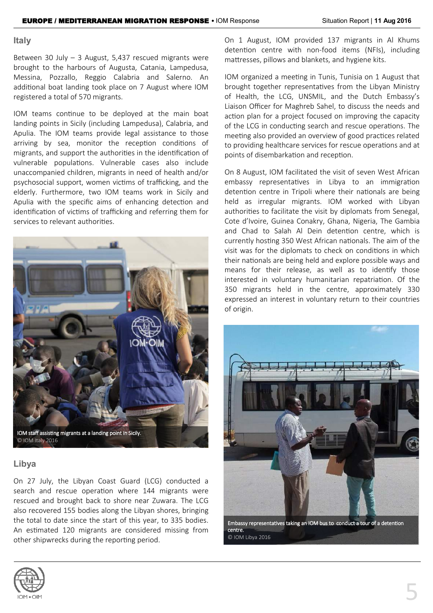### **Italy**

Between 30 July – 3 August, 5,437 rescued migrants were brought to the harbours of Augusta, Catania, Lampedusa, Messina, Pozzallo, Reggio Calabria and Salerno. An additional boat landing took place on 7 August where IOM registered a total of 570 migrants.

IOM teams continue to be deployed at the main boat landing points in Sicily (including Lampedusa), Calabria, and Apulia. The IOM teams provide legal assistance to those arriving by sea, monitor the reception conditions of migrants, and support the authorities in the identification of vulnerable populations. Vulnerable cases also include unaccompanied children, migrants in need of health and/or psychosocial support, women victims of trafficking, and the elderly. Furthermore, two IOM teams work in Sicily and Apulia with the specific aims of enhancing detection and identification of victims of trafficking and referring them for services to relevant authorities.



### **Libya**

On 27 July, the Libyan Coast Guard (LCG) conducted a search and rescue operation where 144 migrants were rescued and brought back to shore near Zuwara. The LCG also recovered 155 bodies along the Libyan shores, bringing the total to date since the start of this year, to 335 bodies. An estimated 120 migrants are considered missing from other shipwrecks during the reporting period.

On 1 August, IOM provided 137 migrants in Al Khums detention centre with non-food items (NFIs), including mattresses, pillows and blankets, and hygiene kits.

IOM organized a meeting in Tunis, Tunisia on 1 August that brought together representatives from the Libyan Ministry of Health, the LCG, UNSMIL, and the Dutch Embassy's Liaison Officer for Maghreb Sahel, to discuss the needs and action plan for a project focused on improving the capacity of the LCG in conducting search and rescue operations. The meeting also provided an overview of good practices related to providing healthcare services for rescue operations and at points of disembarkation and reception.

On 8 August, IOM facilitated the visit of seven West African embassy representatives in Libya to an immigration detention centre in Tripoli where their nationals are being held as irregular migrants. IOM worked with Libyan authorities to facilitate the visit by diplomats from Senegal, Cote d'Ivoire, Guinea Conakry, Ghana, Nigeria, The Gambia and Chad to Salah Al Dein detention centre, which is currently hosting 350 West African nationals. The aim of the visit was for the diplomats to check on conditions in which their nationals are being held and explore possible ways and means for their release, as well as to identify those interested in voluntary humanitarian repatriation. Of the 350 migrants held in the centre, approximately 330 expressed an interest in voluntary return to their countries of origin.



Embassy representatives taking an IOM bus to conduct a tour of a detention centre. © IOM Libya 2016

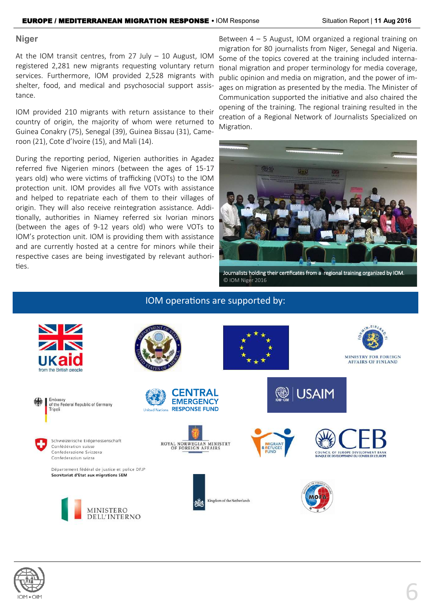### **Niger**

At the IOM transit centres, from 27 July – 10 August, IOM registered 2,281 new migrants requesting voluntary return services. Furthermore, IOM provided 2,528 migrants with shelter, food, and medical and psychosocial support assistance.

IOM provided 210 migrants with return assistance to their country of origin, the majority of whom were returned to Guinea Conakry (75), Senegal (39), Guinea Bissau (31), Cameroon (21), Cote d'Ivoire (15), and Mali (14).

During the reporting period, Nigerien authorities in Agadez referred five Nigerien minors (between the ages of 15-17 years old) who were victims of trafficking (VOTs) to the IOM protection unit. IOM provides all five VOTs with assistance and helped to repatriate each of them to their villages of origin. They will also receive reintegration assistance. Additionally, authorities in Niamey referred six Ivorian minors (between the ages of 9-12 years old) who were VOTs to IOM's protection unit. IOM is providing them with assistance and are currently hosted at a centre for minors while their respective cases are being investigated by relevant authorities.

Between 4 – 5 August, IOM organized a regional training on migration for 80 journalists from Niger, Senegal and Nigeria. Some of the topics covered at the training included international migration and proper terminology for media coverage, public opinion and media on migration, and the power of images on migration as presented by the media. The Minister of Communication supported the initiative and also chaired the opening of the training. The regional training resulted in the creation of a Regional Network of Journalists Specialized on Migration.



Journalists holding their certificates from a regional training organized by IOM. © IOM Niger 2016

### IOM operations are supported by:



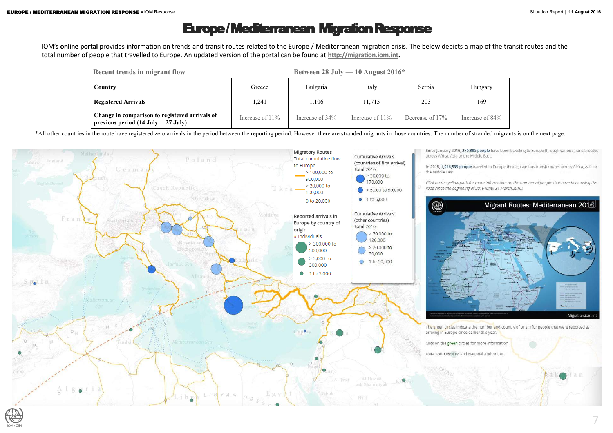# Europe / Mediterranean Migration Response

IOM's **online portal** provides information on trends and transit routes related to the Europe / Mediterranean migration crisis. The below depicts a map of the transit routes and the total number of people that travelled to Europe. An updated version of the portal can be found at **[http://migration.iom.int.](http://migration.iom.int)** 

\*All other countries in the route have registered zero arrivals in the period between the reporting period. However there are stranded migrants in those countries. The number of stranded migrants is on the next page.

![](_page_6_Picture_5.jpeg)

![](_page_6_Picture_6.jpeg)

Increase of 84%

| <b>Recent trends in migrant flow</b>                                                                    |                    |                 | Between 28 July — 10 August $2016*$ |                 |               |
|---------------------------------------------------------------------------------------------------------|--------------------|-----------------|-------------------------------------|-----------------|---------------|
| Country                                                                                                 | Greece             | Bulgaria        | Italy                               | Serbia          | Hungary       |
| <b>Registered Arrivals</b>                                                                              | 1,241              | ,106            | 11,715                              | 203             | 169           |
| Change in comparison to registered arrivals of<br>previous period $(14 \text{ July} - 27 \text{ July})$ | Increase of $11\%$ | Increase of 34% | Increase of $11\%$                  | Decrease of 17% | Increase of 8 |